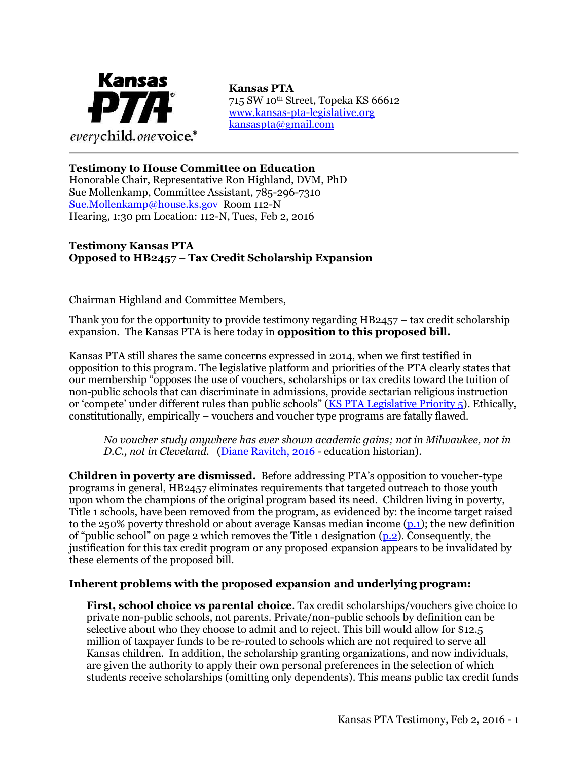

715 SW 10th Street, Topeka KS 66612 [www.kansas-pta-legislative.org](http://www.kansas-pta-legislative.org/)  [kansaspta@gmail.com](mailto:kansaspta@gmail.com)

## **Testimony to House Committee on Education**

Honorable Chair, Representative Ron Highland, DVM, PhD Sue Mollenkamp, Committee Assistant, 785-296-7310 [Sue.Mollenkamp@house.ks.gov](mailto:Diane.Brian@house.ks.gov) Room 112-N Hearing, 1:30 pm Location: 112-N, Tues, Feb 2, 2016

## **Testimony Kansas PTA Opposed to HB2457** – **Tax Credit Scholarship Expansion**

Chairman Highland and Committee Members,

Thank you for the opportunity to provide testimony regarding HB2457 – tax credit scholarship expansion. The Kansas PTA is here today in **opposition to this proposed bill.**

Kansas PTA still shares the same concerns expressed in 2014, when we first testified in opposition to this program. The legislative platform and priorities of the PTA clearly states that our membership "opposes the use of vouchers, scholarships or tax credits toward the tuition of non-public schools that can discriminate in admissions, provide sectarian religious instruction or 'compete' under different rules than public schools" ([KS PTA Legislative Priority 5\)](http://kansas-pta-legislative.org/?q=legislative-priorities-2014). Ethically, constitutionally, empirically – vouchers and voucher type programs are fatally flawed.

*No voucher study anywhere has ever shown academic gains; not in Milwaukee, not in D.C., not in Cleveland*. [\(Diane Ravitch, 2016](http://www.journalgazette.net/opinion/editorials/Do-vouchers-work--Real-data-needed--not-spin-11007242) - education historian).

**Children in poverty are dismissed.** Before addressing PTA's opposition to voucher-type programs in general, HB2457 eliminates requirements that targeted outreach to those youth upon whom the champions of the original program based its need. Children living in poverty, Title 1 schools, have been removed from the program, as evidenced by: the income target raised to the 250% poverty threshold or about average Kansas median income [\(p.1\)](http://www.kslegislature.org/li/b2015_16/measures/documents/hb2457_00_0000.pdf); the new definition of "public school" on page 2 which removes the Title 1 designation  $(p_2)$ . Consequently, the justification for this tax credit program or any proposed expansion appears to be invalidated by these elements of the proposed bill.

## **Inherent problems with the proposed expansion and underlying program:**

**First, school choice vs parental choice**. Tax credit scholarships/vouchers give choice to private non-public schools, not parents. Private/non-public schools by definition can be selective about who they choose to admit and to reject. This bill would allow for \$12.5 million of taxpayer funds to be re-routed to schools which are not required to serve all Kansas children. In addition, the scholarship granting organizations, and now individuals, are given the authority to apply their own personal preferences in the selection of which students receive scholarships (omitting only dependents). This means public tax credit funds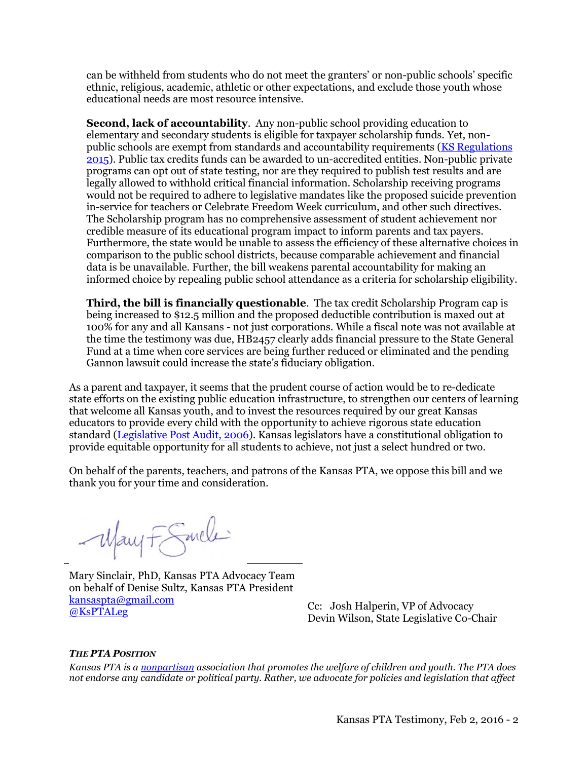can be withheld from students who do not meet the granters' or non-public schools' specific ethnic, religious, academic, athletic or other expectations, and exclude those youth whose educational needs are most resource intensive.

**Second, lack of accountability**. Any non-public school providing education to elementary and secondary students is eligible for taxpayer scholarship funds. Yet, nonpublic schools are exempt from standards and accountability requirements [\(KS Regulations](http://www2.ed.gov/about/offices/list/oii/nonpublic/kansas.html) [2015\)](http://www2.ed.gov/about/offices/list/oii/nonpublic/kansas.html). Public tax credits funds can be awarded to un-accredited entities. Non-public private programs can opt out of state testing, nor are they required to publish test results and are legally allowed to withhold critical financial information. Scholarship receiving programs would not be required to adhere to legislative mandates like the proposed suicide prevention in-service for teachers or Celebrate Freedom Week curriculum, and other such directives. The Scholarship program has no comprehensive assessment of student achievement nor credible measure of its educational program impact to inform parents and tax payers. Furthermore, the state would be unable to assess the efficiency of these alternative choices in comparison to the public school districts, because comparable achievement and financial data is be unavailable. Further, the bill weakens parental accountability for making an informed choice by repealing public school attendance as a criteria for scholarship eligibility.

**Third, the bill is financially questionable**. The tax credit Scholarship Program cap is being increased to \$12.5 million and the proposed deductible contribution is maxed out at 100% for any and all Kansans - not just corporations. While a fiscal note was not available at the time the testimony was due, HB2457 clearly adds financial pressure to the State General Fund at a time when core services are being further reduced or eliminated and the pending Gannon lawsuit could increase the state's fiduciary obligation.

As a parent and taxpayer, it seems that the prudent course of action would be to re-dedicate state efforts on the existing public education infrastructure, to strengthen our centers of learning that welcome all Kansas youth, and to invest the resources required by our great Kansas educators to provide every child with the opportunity to achieve rigorous state education standard [\(Legislative Post Audit, 2006\)](http://skyways.lib.ks.us/ksleg/KLRD/Publications/Education_Cost_Study/Cost_Study_Report.pdf). Kansas legislators have a constitutional obligation to provide equitable opportunity for all students to achieve, not just a select hundred or two.

On behalf of the parents, teachers, and patrons of the Kansas PTA, we oppose this bill and we thank you for your time and consideration.

-May F Smele

Mary Sinclair, PhD, Kansas PTA Advocacy Team on behalf of Denise Sultz, Kansas PTA President [kansaspta@gmail.com](mailto:kansaspta@gmail.com) <u>Ransaspialog Inan.com</u><br>
Cc: Josh Halperin, VP of Advocacy<br>
Cc: Josh Halperin, VP of Advocacy

Devin Wilson, State Legislative Co-Chair

## *THE PTA POSITION*

*Kansas PTA is [a nonpartisan](http://www.kansas-pta-legislative.org/?q=htt_nonpartisan-guidelines) association that promotes the welfare of children and youth. The PTA does not endorse any candidate or political party. Rather, we advocate for policies and legislation that affect*